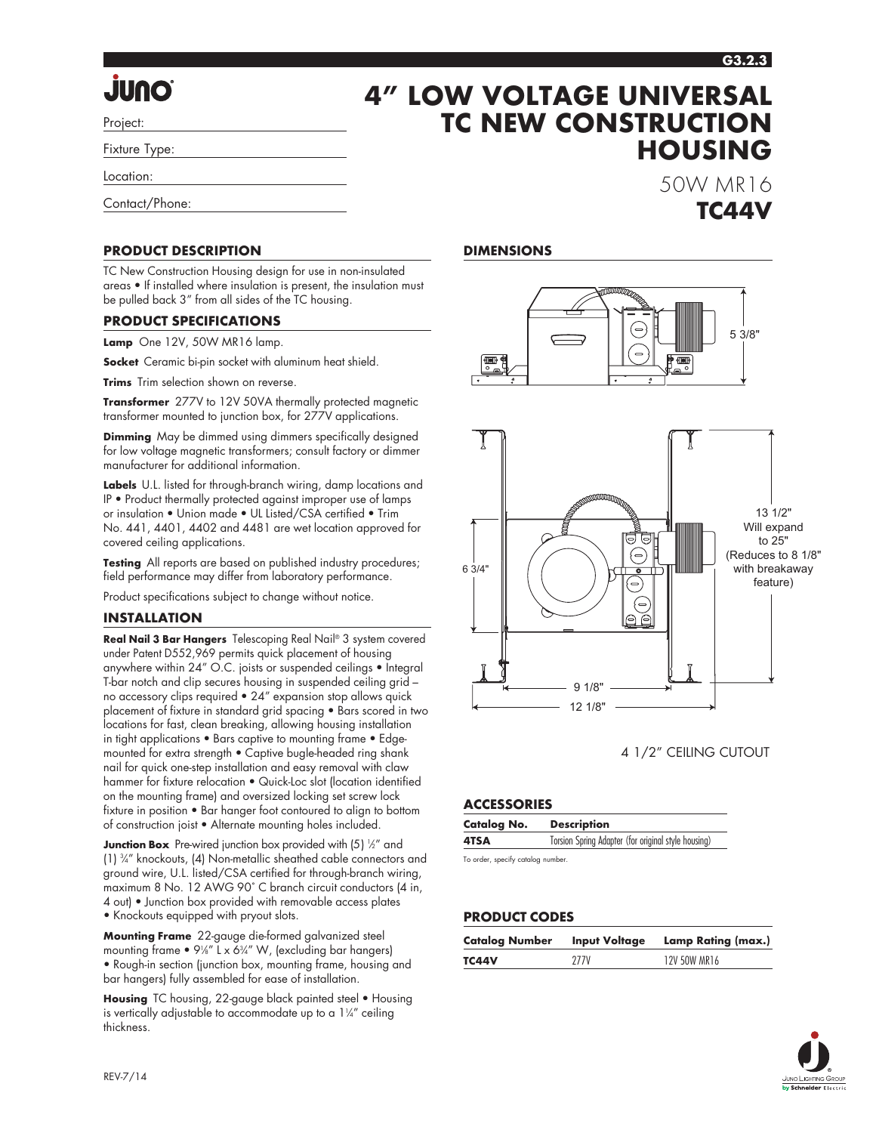**Junction Box** Pre-wired junction box provided with (5) ½" and (1) 3 ⁄4" knockouts, (4) Non-metallic sheathed cable connectors and ground wire, U.L. listed/CSA certified for through-branch wiring, maximum 8 No. 12 AWG 90˚ C branch circuit conductors (4 in, 4 out) • Junction box provided with removable access plates

**Mounting Frame** 22-gauge die-formed galvanized steel mounting frame  $\bullet$  9¼" L x 6¾" W, (excluding bar hangers)

**Housing** TC housing, 22-gauge black painted steel • Housing is vertically adjustable to accommodate up to a  $1\frac{1}{4}$  ceiling thickness.

**DIMENSIONS**

6 3/4"



# **4" LOW VOLTAGE UNIVERSAL TC NEW CONSTRUCTION**

Location:

Project:

Contact/Phone:

### **PRODUCT DESCRIPTION**

TC New Construction Housing design for use in non-insulated areas • If installed where insulation is present, the insulation must be pulled back 3" from all sides of the TC housing.

#### **PRODUCT SPECIFICATIONS**

**Lamp** One 12V, 50W MR16 lamp.

**Socket** Ceramic bi-pin socket with aluminum heat shield.

**Trims** Trim selection shown on reverse.

**Transformer** 277V to 12V 50VA thermally protected magnetic transformer mounted to junction box, for 277V applications.

**Dimming** May be dimmed using dimmers specifically designed for low voltage magnetic transformers; consult factory or dimmer manufacturer for additional information.

**Labels** U.L. listed for through-branch wiring, damp locations and IP • Product thermally protected against improper use of lamps or insulation • Union made • UL Listed/CSA certified • Trim No. 441, 4401, 4402 and 4481 are wet location approved for covered ceiling applications.

**Testing** All reports are based on published industry procedures; field performance may differ from laboratory performance.

Product specifications subject to change without notice.

#### **INSTALLATION**

REV-7/14

**Real Nail 3 Bar Hangers** Telescoping Real Nail® 3 system covered under Patent D552,969 permits quick placement of housing anywhere within 24" O.C. joists or suspended ceilings • Integral T-bar notch and clip secures housing in suspended ceiling grid – no accessory clips required • 24" expansion stop allows quick placement of fixture in standard grid spacing • Bars scored in two locations for fast, clean breaking, allowing housing installation in tight applications • Bars captive to mounting frame • Edgemounted for extra strength • Captive bugle-headed ring shank nail for quick one-step installation and easy removal with claw hammer for fixture relocation • Quick-Loc slot (location identified on the mounting frame) and oversized locking set screw lock fixture in position • Bar hanger foot contoured to align to bottom of construction joist • Alternate mounting holes included.

• Knockouts equipped with pryout slots.

• Rough-in section (junction box, mounting frame, housing and bar hangers) fully assembled for ease of installation.

∫ —

9 1/8" 12 1/8"

4 1/2" CEILING CUTOUT

#### **ACCESSORIES**

| <b>Catalog No.</b> | <b>Description</b>                                  |
|--------------------|-----------------------------------------------------|
| 4TSA               | Torsion Spring Adapter (for original style housing) |

To order, specify catalog number.

#### **PRODUCT CODES**

| <b>Catalog Number</b> | <b>Input Voltage</b> | Lamp Rating (max.) |
|-----------------------|----------------------|--------------------|
| TC44V                 | 27.7V                | 12V 50W MR16       |



**HOUSING**

50W MR16

**TC44V**

13 1/2" Will expand to 25" (Reduces to 8 1/8" with breakaway feature)

**G3.2.3**

**JUNO**